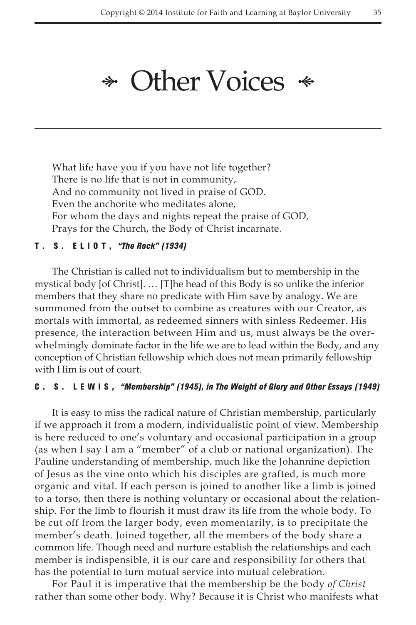# $\ast$  Other Voices  $\ast$

What life have you if you have not life together? There is no life that is not in community, And no community not lived in praise of GOD. Even the anchorite who meditates alone, For whom the days and nights repeat the praise of GOD, Prays for the Church, the Body of Christ incarnate.

#### T. S. Elio t , *"The Rock" (1934)*

The Christian is called not to individualism but to membership in the mystical body [of Christ]. … [T]he head of this Body is so unlike the inferior members that they share no predicate with Him save by analogy. We are summoned from the outset to combine as creatures with our Creator, as mortals with immortal, as redeemed sinners with sinless Redeemer. His presence, the interaction between Him and us, must always be the overwhelmingly dominate factor in the life we are to lead within the Body, and any conception of Christian fellowship which does not mean primarily fellowship with Him is out of court.

#### C. S. Le w i s , *"Membership" (1945), in The Weight of Glory and Other Essays (1949)*

It is easy to miss the radical nature of Christian membership, particularly if we approach it from a modern, individualistic point of view. Membership is here reduced to one's voluntary and occasional participation in a group (as when I say I am a "member" of a club or national organization). The Pauline understanding of membership, much like the Johannine depiction of Jesus as the vine onto which his disciples are grafted, is much more organic and vital. If each person is joined to another like a limb is joined to a torso, then there is nothing voluntary or occasional about the relationship. For the limb to flourish it must draw its life from the whole body. To be cut off from the larger body, even momentarily, is to precipitate the member's death. Joined together, all the members of the body share a common life. Though need and nurture establish the relationships and each member is indispensible, it is our care and responsibility for others that has the potential to turn mutual service into mutual celebration.

For Paul it is imperative that the membership be the body *of Christ*  rather than some other body. Why? Because it is Christ who manifests what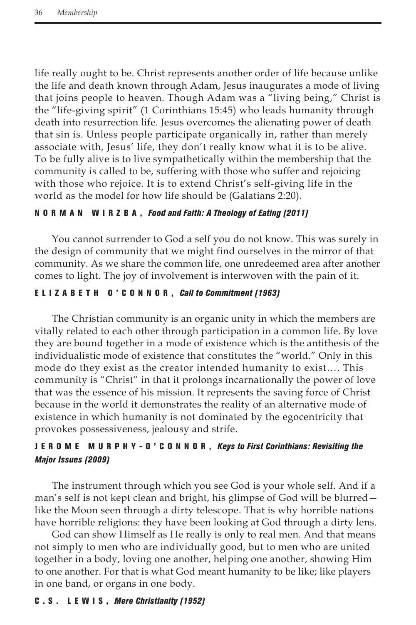life really ought to be. Christ represents another order of life because unlike the life and death known through Adam, Jesus inaugurates a mode of living that joins people to heaven. Though Adam was a "living being," Christ is the "life-giving spirit" (1 Corinthians 15:45) who leads humanity through death into resurrection life. Jesus overcomes the alienating power of death that sin is. Unless people participate organically in, rather than merely associate with, Jesus' life, they don't really know what it is to be alive. To be fully alive is to live sympathetically within the membership that the community is called to be, suffering with those who suffer and rejoicing with those who rejoice. It is to extend Christ's self-giving life in the world as the model for how life should be (Galatians 2:20).

#### NORMAN WIRZBA, *Food and Faith: A Theology of Eating (2011)*

You cannot surrender to God a self you do not know. This was surely in the design of community that we might find ourselves in the mirror of that community. As we share the common life, one unredeemed area after another comes to light. The joy of involvement is interwoven with the pain of it.

#### Elizab et h O 'Co nn or, *Call to Commitment (1963)*

The Christian community is an organic unity in which the members are vitally related to each other through participation in a common life. By love they are bound together in a mode of existence which is the antithesis of the individualistic mode of existence that constitutes the "world." Only in this mode do they exist as the creator intended humanity to exist…. This community is "Christ" in that it prolongs incarnationally the power of love that was the essence of his mission. It represents the saving force of Christ because in the world it demonstrates the reality of an alternative mode of existence in which humanity is not dominated by the egocentricity that provokes possessiveness, jealousy and strife.

# J E R O M E M U R P H Y - O 'C O N N O R, *Keys to First Corinthians: Revisiting the Major Issues (2009)*

The instrument through which you see God is your whole self. And if a man's self is not kept clean and bright, his glimpse of God will be blurred like the Moon seen through a dirty telescope. That is why horrible nations have horrible religions: they have been looking at God through a dirty lens.

God can show Himself as He really is only to real men. And that means not simply to men who are individually good, but to men who are united together in a body, loving one another, helping one another, showing Him to one another. For that is what God meant humanity to be like; like players in one band, or organs in one body.

### C.S. Le w i s , *Mere Christianity (1952)*